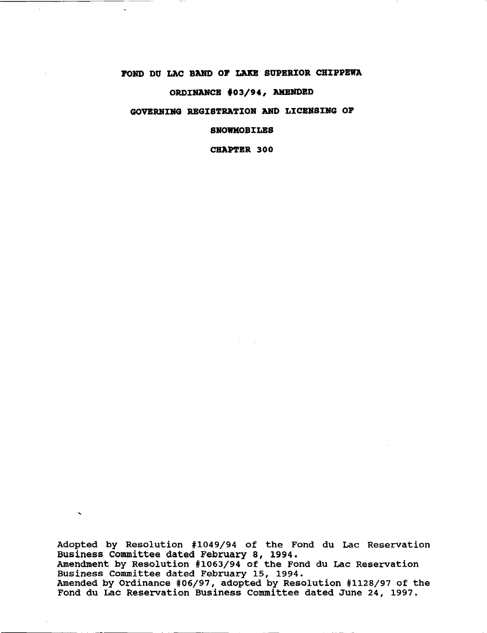# **POND DU LAC BAND OP LAIB SUPERIOR CHIPPEWA**

--------~-\_.\_.----

 $\mathbf{v}_k$ 

 $\Delta \phi$ 

 $\sim$ 

# **ORDINANCE '03/94, AMENDBD**

# **GOVERNING REGISTRATION AND LICBNSING OP**

**SNOWMOBILES**

**CHAPTER 300**

 $\sim$ 

Adopted by Resolution #1049/94 of the Fond du Lac Reservation Business Committee dated February 8, 1994. Amendment by Resolution #1063/94 of the Fond du Lac Reservation Business committee dated February 15, 1994. Amended by Ordinance #06/97, adopted by Resolution #1128/97 of the Fond du Lac Reservation Business Committee dated June 24, 1997.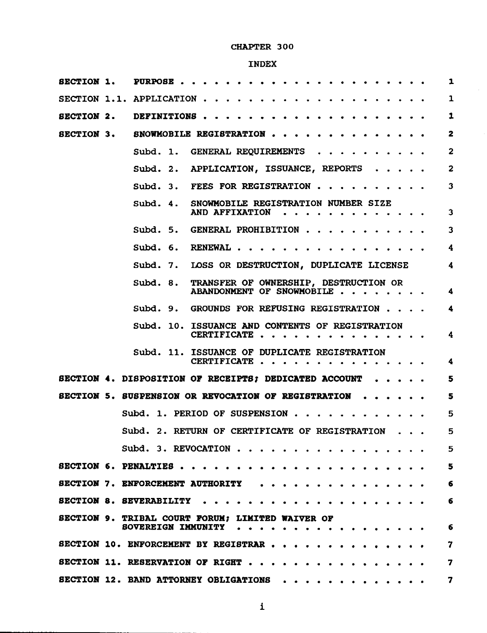## CHAPTER 300

# INDEX

| SECTION 1.        | PURPOSE                                                                                                                                                              | $\mathbf{1}$            |
|-------------------|----------------------------------------------------------------------------------------------------------------------------------------------------------------------|-------------------------|
|                   | SECTION 1.1. APPLICATION                                                                                                                                             | $\mathbf{1}$            |
| <b>SECTION 2.</b> | DEFINITIONS                                                                                                                                                          | $\mathbf{1}$            |
| <b>SECTION 3.</b> | SNOWMOBILE REGISTRATION                                                                                                                                              | $\overline{\mathbf{z}}$ |
|                   | Subd. 1.<br>GENERAL REQUIREMENTS                                                                                                                                     | $\overline{2}$          |
|                   | <b>APPLICATION, ISSUANCE, REPORTS</b><br>Subd. 2.<br>$\begin{array}{cccccccccccccc} \bullet & \bullet & \bullet & \bullet & \bullet & \bullet & \bullet \end{array}$ | $\overline{2}$          |
|                   | <b>FEES FOR REGISTRATION</b><br>Subd. 3.                                                                                                                             | 3                       |
|                   | SNOWMOBILE REGISTRATION NUMBER SIZE<br>Subd. 4.<br>AND AFFIXATION                                                                                                    | 3                       |
|                   | Subd. 5. GENERAL PROHIBITION                                                                                                                                         | 3                       |
|                   | Subd. $6.$<br>RENEWAL                                                                                                                                                | 4                       |
|                   | Subd. 7.<br>LOSS OR DESTRUCTION, DUPLICATE LICENSE                                                                                                                   | 4                       |
|                   | TRANSFER OF OWNERSHIP, DESTRUCTION OR<br>Subd. 8.<br>ABANDONMENT OF SNOWMOBILE                                                                                       | 4                       |
|                   | Subd. 9. GROUNDS FOR REFUSING REGISTRATION                                                                                                                           | $\ddot{\phantom{1}}$    |
|                   | Subd. 10. ISSUANCE AND CONTENTS OF REGISTRATION<br>CERTIFICATE                                                                                                       | 4                       |
|                   | Subd. 11. ISSUANCE OF DUPLICATE REGISTRATION<br>CERTIFICATE                                                                                                          | 4                       |
|                   | SECTION 4. DISPOSITION OF RECEIPTS; DEDICATED ACCOUNT                                                                                                                | 5                       |
|                   | SECTION 5. SUSPENSION OR REVOCATION OF REGISTRATION                                                                                                                  | 5                       |
|                   | Subd. 1. PERIOD OF SUSPENSION                                                                                                                                        | 5                       |
|                   | Subd. 2. RETURN OF CERTIFICATE OF REGISTRATION                                                                                                                       | כ                       |
|                   | Subd. 3. REVOCATION                                                                                                                                                  | 5                       |
|                   | SECTION 6. PENALTIES                                                                                                                                                 | 5                       |
|                   | <b>SECTION 7. ENFORCEMENT AUTHORITY</b>                                                                                                                              | 6                       |
|                   | <b>SECTION 8. SEVERABILITY</b>                                                                                                                                       | 6                       |
|                   | SECTION 9. TRIBAL COURT FORUM; LIMITED WAIVER OF<br>SOVEREIGN IMMUNITY                                                                                               | 6                       |
|                   | SECTION 10. ENFORCEMENT BY REGISTRAR                                                                                                                                 | 7                       |
|                   | SECTION 11. RESERVATION OF RIGHT                                                                                                                                     | 7                       |
|                   | <b>SECTION 12. BAND ATTORNEY OBLIGATIONS</b>                                                                                                                         | 7                       |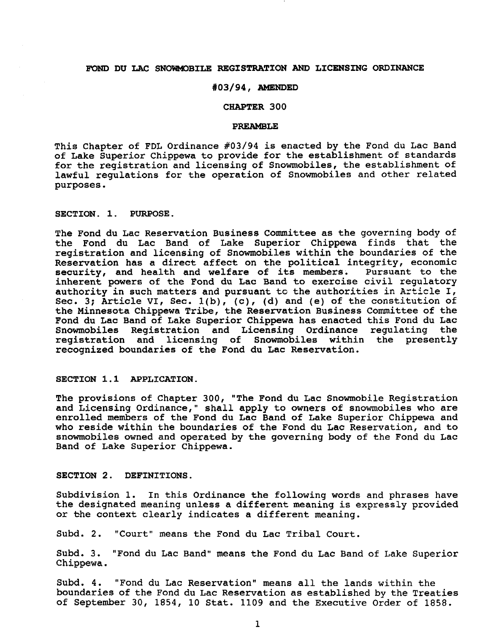#### FOND DU LAC SNOWMOBILE REGISTRATION AND LICENSING ORDINANCE

#### #03/94, AMENDED

## CHAPTER 300

#### PREAMBLE

This Chapter of FDL Ordinance #03/94 *is* enacted by the Fond du Lac Band of Lake Superior Chippewa to provide for the establishment of standards for the registration and licensing of Snowmobiles, the establishment of lawful regulations for the operation of Snowmobiles and other related purposes.

SECTION. 1. PURPOSE.

The Fond du Lac Reservation Business Committee as the governing body of the Fond du Lac Band of Lake Superior Chippewa finds that the registration and licensing of Snowmobiles within the boundaries of the Reservation has a direct affect on the political integrity, economic<br>security, and health and welfare of its members. Pursuant to the security, and health and welfare of its members. inherent powers of the Fond du Lac Band to exercise civil regulatory authority in such matters and pursuant to the authorities in Article I, Sec. 3; Article VI, Sec. 1(b), (c), (d) and (e) of the constitution of the Minnesota Chippewa Tribe, the Reservation Business Committee of the Fond du Lac Band of Lake Superior Chippewa has enacted this Fond du Lac Snowmobiles Registration and Licensing Ordinance regulating the registration and licensing of Snowmobiles within the presently recognized boundaries of the Fond du Lac Reservation.

#### SECTION 1.1 APPLICATION.

The provisions of Chapter 300, "The Fond du Lac Snowmobile Registration and Licensing Ordinance," shall apply to owners of snowmobiles who are enrolled members of the Fond du Lac Band of Lake Superior Chippewa and who reside within the boundaries of the Fond du Lac Reservation, and to snowmobiles owned and operated by the governing body of the Fond du Lac Band of Lake Superior Chippewa.

#### SECTION 2. DEFINITIONS.

Subdivision 1. In this Ordinance the following words and phrases have the designated meaning unless a different meaning is expressly provided or the context clearly indicates a different meaning.

Subd. 2. "Court" means the Fond du Lac Tribal Court.

Subd. 3. "Fond du Lac Band" means the Fond du Lac Band of Lake Superior Chippewa.

Subd. 4. "Fond du Lac Reservation" means all the lands within the boundaries of the Fond du Lac Reservation as established by the Treaties of September 30, 1854, 10 Stat. 1109 and the Executive Order of 1858.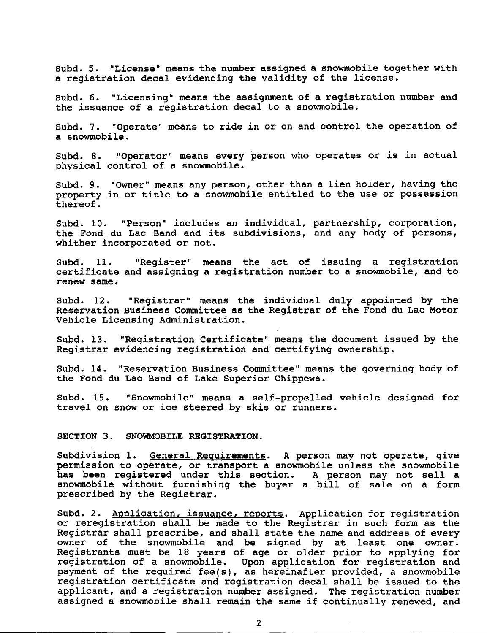Subd. 5. "License" means the number assigned a snowmobile together with a registration decal evidencing the validity of the license.

Subd. 6. "Licensing" means the assignment of a registration number and the issuance of a registration decal to a snowmobile.

Subd. 7. "Operate" means to ride *in* or on and control the operation of a snowmobile.

Subd. 8. "Operator" means every person who operates or is *in* actual physical control of a snowmobile.

Subd. 9. "Owner" means any person, other than a lien holder, having the property in or title to a snowmobile entitled to the use or possession thereof.

Subd. 10. "Person" includes an individual, partnership, corporation, the Fond du Lac Band and its subdivisions, and any body of persons, whither incorporated or not.

Subd. 11. "Register" means the act of issuing a registration certificate and assigning a registration number to a snowmobile, and to renew same.

Subd. 12. "Registrar" means the individual duly appointed by the Reservation Business Committee as the Registrar of the Fond du Lac Motor Vehicle Licensing Administration.

Subd. 13. "Registration Certificate" means the document issued by the Registrar evidencing registration and certifying ownership.

subd. 14. "Reservation Business Committee" means the governing body of the Fond du Lac Band of Lake Superior Chippewa.

Subd. 15. "Snowmobile" means a self-propelled vehicle designed for travel on snow or *ice* steered by skis or runners.

SECTION 3. SNOWMOBILE REGISTRATION.

Subdivision 1. General Requirements. A person may not operate, give permission to operate, or transport a snowmobile unless the snowmobile has been registered under this section. A person may not sell a snowmobile without furnishing the buyer <sup>a</sup> bill of sale on <sup>a</sup> form prescribed by the Registrar.

Subd. 2. Application, issuance, reports. Application for registration or reregistration shall be made to the Registrar in such form as the Registrar shall prescribe, and shall state the name and address of every owner of the snowmobile and be signed by at least one owner. Registrants must be 18 years of age or older prior to applying for registration of a snowmobile. Upon application for registration and payment of the required fee(s), as hereinafter provided, a snowmobile registration certificate and registration decal shall be issued to the applicant, and a registration number assigned. The registration number assigned <sup>a</sup> snowmobile shall remain the same if continually renewed, and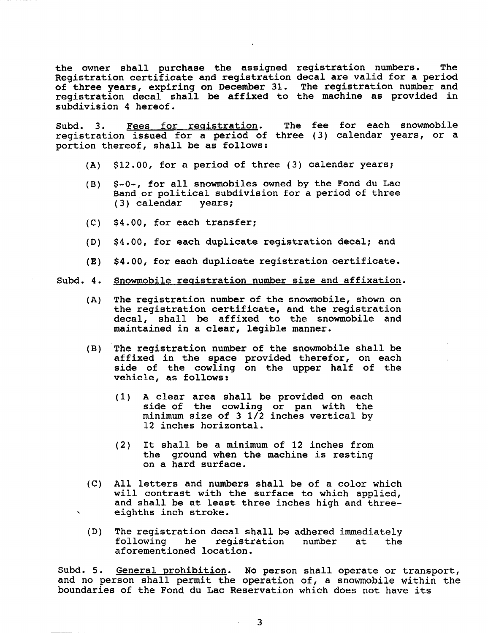the owner shall purchase the assigned registration numbers. The Registration certificate and registration decal are valid for a period of three years, expiring on December 31. The registration number and registration decal shall be affixed to the machine as provided in subdivision 4 hereof.

Subd. 3. Fees for registration. registration issued for a period of three (3) calendar years, or a portion thereof, shall be as follows: The fee for each snowmobile

- (A) \$12.00, for a period of three (3) calendar years;
- (B) \$-0-, for all snowmobiles owned by the Fond du Lac Band or political subdivision for a period of three  $(3)$  calendar years;  $(3)$  calendar
- (C) \$4.00, for each transfer;
- (0) \$4.00, for each duplicate registration decal; and
- (E) \$4.00, for each duplicate registration certificate.

#### Subd. 4. Snowmobile registration number size and affixation.

- (A) The registration number of the snowmobile, shown on the registration certificate, and the registration decal, shall be affixed to the snowmobile and maintained *in* <sup>a</sup> clear, legible manner.
- (B) The registration number of the snowmobile shall be affixed in the space provided therefor, on each side of the cowling on the upper half of the vehicle, as follows:
	- (1) A clear area shall be provided on each side of the cowling or pan with the minimum size of <sup>3</sup> 1/2 inches vertical by 12 inches horizontal.
	- (2) It shall be <sup>a</sup> minimum of <sup>12</sup> inches from the ground when the machine is resting on a hard surface.
- (C) All letters and numbers shall be of <sup>a</sup> color which will contrast with the surface to which applied, and shall be at least three inches high and three- , eighths inch stroke.
- (D) The registration decal shall be adhered immediately<br>following he registration number at the registration number aforementioned location.

Subd. 5. General prohibition. No person shall operate or transport, and no person shall permit the operation of, <sup>a</sup> snowmobile within the boundaries of the Fond du Lac Reservation which does not have its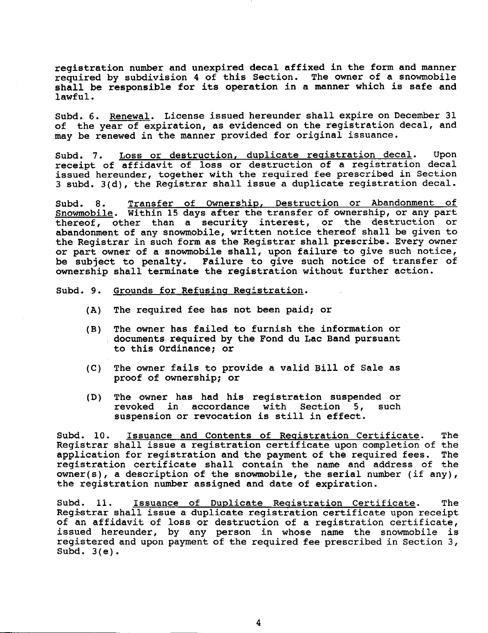registration number and unexpired decal affixed *in* the form and manner required by subdivision 4 of this Section. The owner of a snowmobile shall be responsible for its operation in <sup>a</sup> manner which is safe and lawful.

Subd. 6. Renewal. License issued hereunder shall expire on December 31 of the year of expiration, as evidenced on the registration decal, and may be renewed *in* the manner provided for original issuance.

Subd. 7. Loss or destruction, duplicate registration decal. Upon receipt of affidavit of loss or destruction of a registration decal issued hereunder, together with the required fee prescribed in Section 3 subd. 3(d), the Registrar shall issue a duplicate registration decal.

Subd. 8. Transfer of Ownership, Destruction or Abandonment of Snowmobile. Within <sup>15</sup> days after the transfer of ownership, or any part **EXEMINAGELE:** WICHIN IS days also show standard of sunsisting, we any part abandonment of any snowmobile, written notice thereof shall be given to the Registrar *in* such form as the Registrar shall prescribe. Every owner or part owner of a snowmobile shall, upon failure to give such notice, be subject to penalty. Failure to give such notice of transfer of ownership shall terminate the registration without further action.

Subd. 9. Grounds for Refusing Registration.

- (A) The required fee has not been paid; or
- (B) The owner has failed to furnish the information or documents required by the Fond du Lac Band pursuant to this Ordinance; or
- (C) The owner fails to provide a valid Bill of Sale as proof of ownerShip; or
- (D) The owner has had his registration suspended or revoked in accordance with Section 5, such accordance with suspension or revocation is still *in* effect.

Subd. 10. Issuance and Contents of Registration Certificate. The Registrar shall *issue* a registration certificate upon completion of the application for registration and the payment of the required fees. registration certificate shall contain the name and address of the  $owner(s)$ , a description of the snowmobile, the serial number (if any), the registration number assigned and date of expiration.

Subd. 11. Issuance of Duplicate Registration Certificate. The Registrar shall issue a duplicate registration certificate upon receipt of an affidavit of loss or destruction of a registration certificate, issued hereunder, by any person in whose name the snowmobile is registered and upon payment of the required fee prescribed in Section 3, Subd.  $3(e)$ .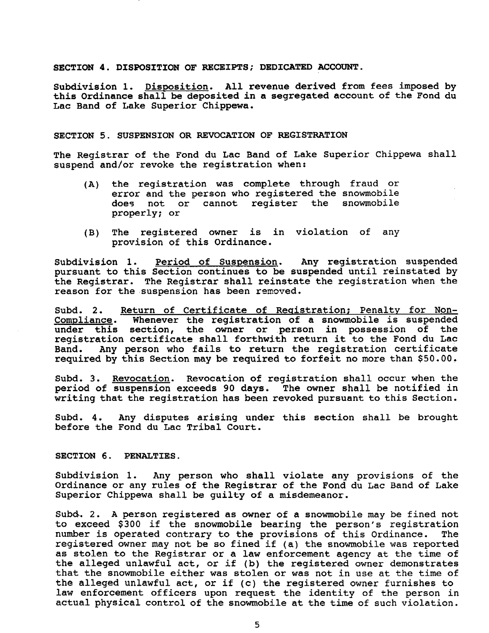SECTION 4. DISPOSITION OF RECEIPTS; DEDICATED ACCOUNT.

Subdivision 1. Disposition. All revenue derived from fees imposed by this Ordinance shall be deposited in a segregated account of the Fond du Lac Band of Lake Superior Chippewa.

#### SECTION 5. SUSPENSION OR REVOCATION OF REGISTRATION

The Registrar of the Fond du Lac Band of Lake Superior Chippewa shall suspend and/or revoke the registration when:

- (A) the registration was complete through fraud or error and the person who registered the snowmobile does not or cannot register the snowmobile properly; or
- (B) The registered owner *is in* violation of any provision of this Ordinance.

Subdivision 1. Period of Suspension. Any registration suspended pursuant to this Section continues to be suspended until reinstated by the Registrar. The Registrar shall reinstate the registration when the reason for the suspension has been removed.

Subd. 2. Return of Certificate of Registration; Penalty for Non-Compliance. Whenever the registration of a snowmobile is suspended under this section, the owner or person *in* possession of the registration certificate shall forthwith return it to the Fond du Lac<br>Band. Any person who fails to return the registration certificate Any person who fails to return the registration certificate required by this Section may be required to forfeit no more than \$50.00.

Subd. 3. Revocation. Revocation of registration shall occur when the period of suspension exceeds 90 days. The owner shall be notified in writing that the registration has been revoked pursuant to this Section.

Subd. 4. Any disputes arising under this section shall be brought before the Fond du Lac Tribal Court.

SECTION 6. PENALTIES.

Subdivision 1. Any person who shall violate any provisions of the Ordinance or any rules of the Registrar of the Fond du Lac Band of Lake Superior Chippewa shall be guilty of a misdemeanor.

Subd. 2. A person registered as owner of a snowmobile may be fined not to exceed \$300 if the snowmobile bearing the person's registration number is operated contrary to the provisions of this Ordinance. registered owner may not be so fined if (a) the snowmobile was reported as stolen to the Registrar or a law enforcement agency at the time of the alleged unlawful act, or if (b) the registered owner demonstrates that the snowmobile either was stolen or was not in use at the time of the alleged unlawful act, or if (c) the registered owner furnishes to law enforcement officers upon request the identity of the person in actual physical control of the snowmobile at the time of such violation.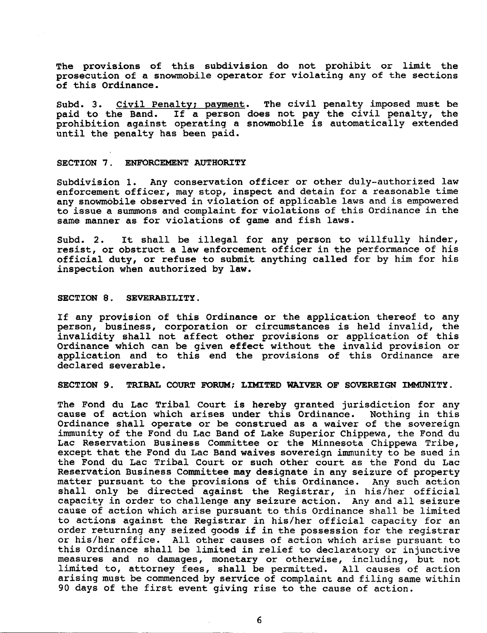The provisions of this subdivision do not prohibit or limit the prosecution of a snowmobile operator for violating any of the sections of this Ordinance.

Subd. 3. Civil Penalty: payment. The civil penalty imposed must be paid to the Band. If <sup>a</sup> person does not pay the civil penalty, the prohibition against operating a snowmobile is automatically extended until the penalty has been paid.

#### SECTION 7. ENFORCEMENT AUTHORITY

Subdivision 1. Any conservation officer or other duly-authorized law enforcement officer, may stop, inspect and detain for a reasonable time any snowmobile observed in violation of applicable laws and is empowered to issue a summons and complaint for violations of this Ordinance in the same manner as for violations of game and fish laws.

Subd. 2. It shall be illegal for any person to willfully hinder, resist, or obstruct a law enforcement officer in the performance of his official duty, or refuse to submit anything called for by him for his inspection when authorized by law.

#### SECTION 8. SEVERABILITY.

If any provision of this Ordinance or the application thereof to any person, business, corporation or circumstances is held invalid, the invalidity shall not affect other provisions or application of this Ordinance which can be given effect without the invalid provision or application and to this end the provisions of this Ordinance are declared severable.

SECTION 9. TRIBAL COURT FORUM; LIMITED WAIVER OF SOVEREIGN IMMUNITY.

The Fond du Lac Tribal Court is hereby granted jurisdiction for any cause of action which arises under this Ordinance. Nothing in this cause of action which arises under this Ordinance. Ordinance shall operate or be construed as a waiver of the sovereign immunity of the Fond du Lac Band of Lake Superior Chippewa, the Fond du Lac Reservation Business Committee or the Minnesota Chippewa Tribe, except that the Fond du Lac Band waives sovereign immunity to be sued in the Fond du Lac Tribal Court or such other court as the Fond du Lac Reservation Business Committee may designate in any seizure of property matter pursuant to the provisions of this Ordinance. Any such action shall only be directed against the Registrar, in his/her official capacity *in* order to challenge any seizure action. Any and all seizure cause of action which arise pursuant to this Ordinance shall be limited to actions against the Registrar *in* his/her official capacity for an order returning any seized goods if in the possession for the registrar or his/her office. All other causes of action which arise pursuant to this Ordinance shall be limited in relief to declaratory or injunctive measures and no damages, monetary or otherwise, including, but not limited to, attorney fees, shall be permitted. All causes of action arising must be commenced by service of complaint and filing same within <sup>90</sup> days of the first event giving rise to the cause of action.

6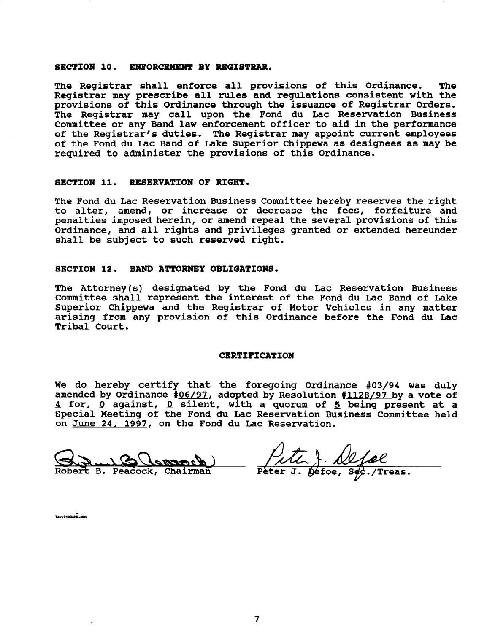#### SECTION 10. ENFORCEMENT BY REGISTRAR.

The Registrar shall enforce all provisions of this Ordinance. The Registrar may prescribe all rules and regulations consistent with the provisions of this Ordinance through the issuance of Registrar Orders. The Registrar may call upon the Fond du Lac Reservation Business Committee or any Band law enforcement officer to aid in the performance of the Registrar's duties. The Registrar may appoint current employees of the Fond du Lac Band of Lake superior Chippewa as designees as may be required to administer the provisions of this Ordinance.

#### SECTION 11. RESERVATION OF RIGHT.

The Fond du Lac Reservation Business Committee hereby reserves the right to alter, amend, or increase or decrease the fees, forfeiture and penalties imposed herein, or amend repeal the several provisions of this Ordinance, and all rights and privileges granted or extended hereunder shall be SUbject to such reserved right.

#### SECTION 12. BAND ATTORNEY OBLIGATIONS.

The Attorney(s) designated by the Fond du Lac Reservation Business Committee shall represent the interest of the Fond du Lac Band of Lake Superior Chippewa and the Registrar of Motor Vehicles in any matter arising from any provision of this Ordinance before the Fond du Lac Tribal Court.

#### **CERTIFICATION**

We do hereby certify that the foregoing Ordinance #03/94 was duly amended by Ordinance #06/97, adopted by Resolution #1128/97 by a vote of .! for, <sup>Q</sup> against, 0 silent, with a quorum of 5 being present at a Special Meeting of the Fond du Lac Reservation Business Committee held on June 24. 1997, on the Fond du Lac Reservation.

Robert B. Peacock, Chairman

 $s_{\ell}$ ./Treas. Peter J.

law,M03AfIO.C8J "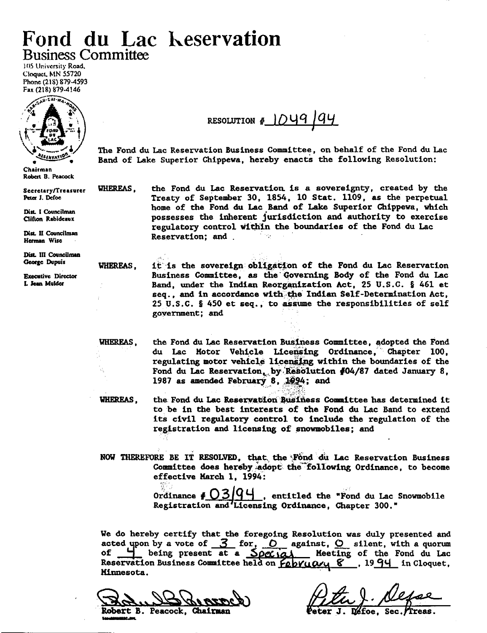# Fond du Lac Keservation **Business Committee**

105 University Road, Cloquet, MN 55720 Phone (218) 879-4593 Fax (218) 879-4146



Chairman Robert B. Peacock

Secretary/Treasurer Peter J. Defoe

Dist. I Councilman Clifton Rabideaux

Dist. II Councilman Herman Wise

Dist. III Councilman George Dupuis

**WHEREAS.** 

**Executive Director** L Jean Mulder

RESOLUTION # 1049 94

The Fond du Lac Reservation Business Committee, on behalf of the Fond du Lac Band of Lake Superior Chippewa, hereby enacts the following Resolution:

WHEREAS, the Fond du Lac Reservation is a sovereignty, created by the Treaty of September 30, 1854, 10 Stat. 1109, as the perpetual home of the Fond du Lac Band of Lake Superior Chippewa, which possesses the inherent jurisdiction and authority to exercise regulatory control within the boundaries of the Fond du Lac Reservation; and  $\sim 10$ 

> it is the sovereign obligation of the Fond du Lac Reservation Business Committee, as the Governing Body of the Fond du Lac Band, under the Indian Reorganization Act, 25 U.S.C. § 461 et seq., and in accordance with the Indian Self-Determination Act. 25 U.S.C. § 450 et seq., to assume the responsibilities of self government; and

WHEREAS. the Fond du Lac Reservation Business Committee, adopted the Fond du Lac Motor Vehicle Licensing Ordinance, Chapter 100, regulating motor vehicle licensing within the boundaries of the Fond du Lac Reservation, by Resolution #04/87 dated January 8, 1987 as amended February 8, 1994; and

the Fond du Lac Reservation Business Committee has determined it **WHEREAS,** to be in the best interests of the Fond du Lac Band to extend its civil regulatory control to include the regulation of the registration and licensing of snowmobiles; and

NOW THEREFORE BE IT RESOLVED. that the Fond du Lac Reservation Business Committee does hereby adopt the following Ordinance, to become effective March 1, 1994:

> Ordinance  $\sharp$   $\bigcup$  3 . entitled the "Fond du Lac Snowmobile Registration and Licensing Ordinance, Chapter 300."

We do hereby certify that the foregoing Resolution was duly presented and acted upon by a vote of  $3$  for,  $0$  against,  $0$  silent, with a quorum being present at a Special Meeting of the Fond du Lac Reservation Business Committee held on  $f_{\ell}$ b $\gamma$ u $\alpha$  $\gamma$ u  $\gamma$  , 1994 in Cloquet, Minnesota.

**Robert B. Peacock, Chairman** 

D≝foe. **Sec**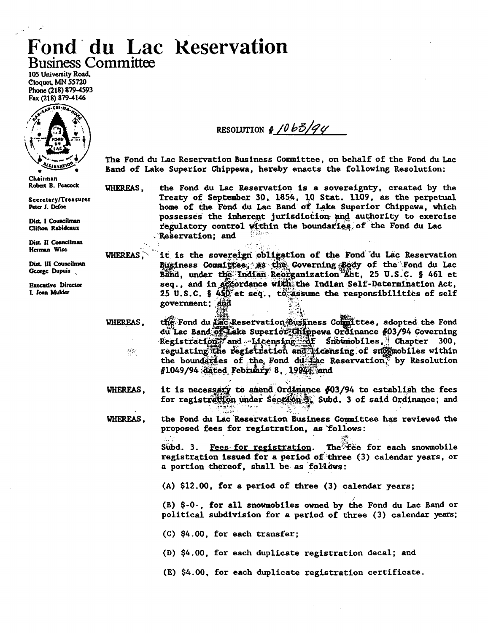# **Fond du Lac Reservation Business Committee**

105 University Road, Cloquet, MN 55720 Phone (218) 879-4593 Fax (218) 879-4146



Chairman Robert B. Peacock

Secretary/Treasurer Peter J. Defoe

Dist. I Councilman Clifton Rabideaux

Dist. II Councilman Herman Wise

Dist. III Councilman George Dupuis

**Executive Director** 1. Jean Mulder

**WHEREAS.** 

**WHEREAS.** 

RESOLUTION #  $10b\frac{3}{4}$ 

The Fond du Lac Reservation Business Committee, on behalf of the Fond du Lac Band of Lake Superior Chippewa, hereby enacts the following Resolution:

WHEREAS. the Fond du Lac Reservation is a sovereignty, created by the Treaty of September 30, 1854, 10 Stat. 1109, as the perpetual home of the Fond du Lac Band of Lake Superior Chippewa, which possesses the inherent jurisdiction and authority to exercise regulatory control within the boundaries of the Fond du Lac Reservation: and

> it is the sovereign obligation of the Fond du Lac Reservation Business Committee, as the Governing Body of the Fond du Lac Band, under the Indian Reorganization Act, 25 U.S.C. § 461 et seq., and in accordance with the Indian Self-Determination Act, 25 U.S.C. §  $450^\circ$  et seq., to assume the responsibilities of self government; and

the Fond du Lac Reservation Business Committee, adopted the Fond du Lac Band of Lake Superior Chippewa Ordinance #03/94 Governing Registration and Licensing of Snowmobiles, Chapter 300, regulating the registration and licensing of submobiles within 원원 the boundaries of the Fond during Reservation, by Resolution  $#1049/94$  dated February 8, 1994, and

it is necessary to amend Ordinance #03/94 to establish the fees **WHEREAS,** for registration under Section 3. Subd. 3 of said Ordinance; and

**WHEREAS.** the Fond du Lac Reservation Business Committee has reviewed the proposed fees for registration, as follows:

> The fee for each snowmobile  $Subd. 3.$ <u>Fees for registration</u>. registration issued for a period of three (3) calendar years, or a portion thereof, shall be as follows:

(A) \$12.00, for a period of three (3) calendar years;

(B) \$-0-, for all snowmobiles owned by the Fond du Lac Band or political subdivision for a period of three (3) calendar years;

- $(C)$  \$4.00, for each transfer;
- (D) \$4.00, for each duplicate registration decal; and
- (E) \$4.00, for each duplicate registration certificate.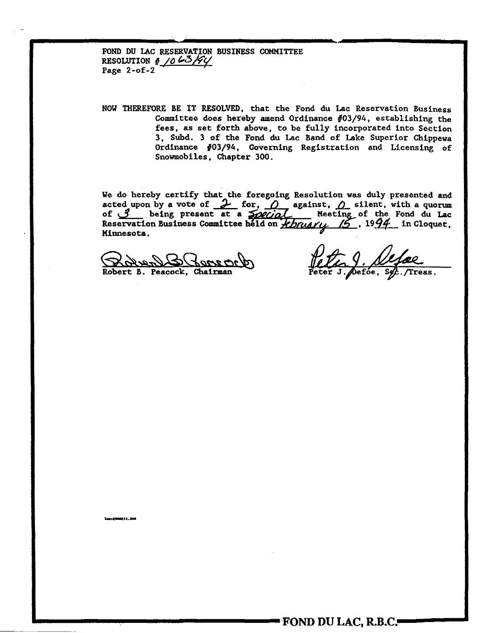FOND DU LAC RESERVATION BUSINESS COMMITTEE RESOLUTION  $\frac{1}{2}$  /0 63/94 Page  $2-of-2$ 

NOW THEREFORE BE IT RESOLVED, that the Fond du Lac Reservation Business Committee does hereby amend Ordinance  $#03/94$ , establishing the fees, as set forth above, to be fully incorporated into Section 3, Subd. 3 of the Fond du Lac Band of Lake Superior Chippewa Ordinance #03/94, Governing Registration and Licensing of Snowmobiles, Chapter 300.

We do hereby certify that the foregoing Resolution was duly presented and acted upon by a vote of  $\frac{1}{\omega}$  for,  $\frac{0}{\omega}$  against,  $\frac{0}{\omega}$  silent, with a quorum of  $\frac{3}{\omega}$  being present at a  $\frac{1}{\omega}$  Meeting of Minnesota.

Robert B. Peacock, Chairman

Treas.

Las (2000211.300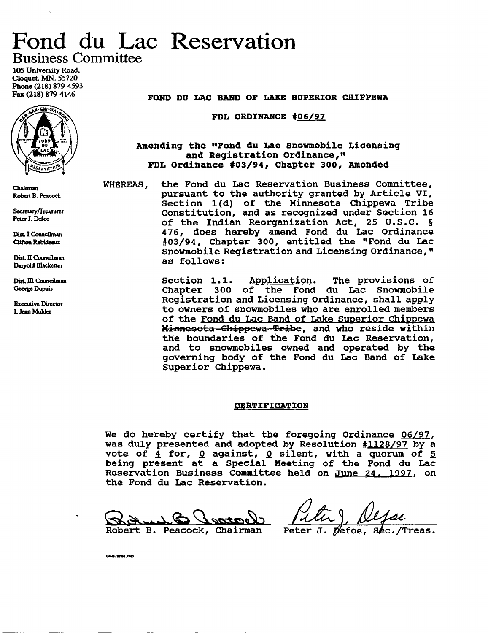# Fond du Lac Reservation Business Committee

*lOS* University Road, Cloquet. MN. 55720 Phone (218) 879-4593 Fax (218) 879-4146



O1ainnan Robert B. Peacock

SecretarylTrcasurer Peter J. Defoe

Dist. I Councilman OifroaRabideaux

Dist. II Councilman Darvold Blacketter

Dist. III Councilman George Dupuis

**Executive Director** L Jean Mulder

FOND DU LAC BAND OF LAKE SUPERIOR CHIPPEWA

FDL ORDINANCE  $#06/97$ 

### Amending the "Fond du Lac Snowmobile Licensing and Registration ordinance," FDL Ordinance #03/94, Chapter 300, Amended

WHEREAS, the Fond du Lac Reservation Business committee, pursuant to the authority granted by Article VI, Section 1(d) of the Minnesota Chippewa Tribe Constitution, and as recognized under Section 16 of the Indian Reorganization Act, 25 U.S.C. § 476, does hereby amend Fond du Lac Ordinance #03/94, Chapter 300, entitled the "Fond du Lac Snowmobile Registration and Licensing Ordinance, " as follows:

> section 1.1. Application. The provisions of Chapter 300 of the Fond du Lac Snowmobile Registration and Licensing ordinance, shall apply to owners of snowmobiles who are enrolled members of the Fond du Lac Band of Lake Superior Chippewa Minnesota -Chippewa -Tribe, and who reside within the boundaries of the Fond du Lac Reservation, and to snowmobiles owned and operated by the governing body of the Fond du Lac Band of Lake Superior Chippewa.

#### **CERTIFICATION**

We do hereby certify that the foregoing Ordinance *06/97,* was duly presented and adopted by Resolution #1128/97 by a vote of  $\frac{4}{2}$  for, <u>0</u> against, 0 silent, with a quorum of  $\frac{5}{2}$ being present at a special Meeting of the Fond du Lac Reservation Business Committee held on June 24. 1997, on the Fond du Lac Reservation.

Robert B. Peacock, Chairman

\All••,.....

 $\n *D*efoe,$ Peter  $J$ . Sec./Treas.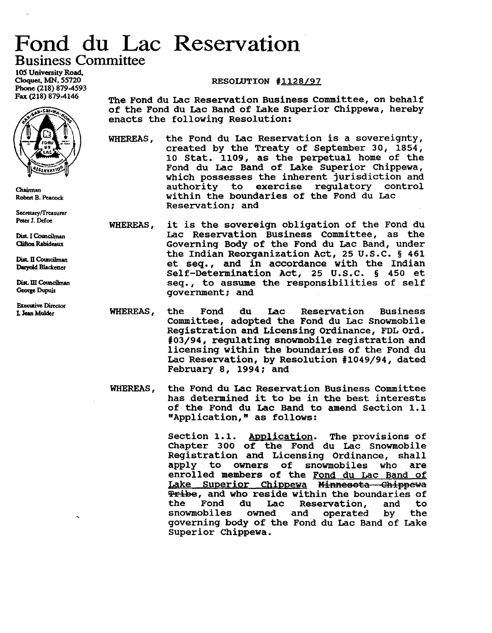# Fond du Lac Reservation'

Business Committee

lOS University Road. Cloquet, MN. 55720 Phone (218) 879-4593 Fax (218) 879-4146



Chairman Robert B. Peacock

Secretary/Treasurer Peter 1. Defoe

Dist. I Councilman Clifton Rabideaux

Dist. II Councilman Darvold Blacketter

Dist. III Councilman George Dupuis

**Executive Director** LJean Mulder

## RESOLUTION #1128/97

The Fond du Lac Reservation Business Committee, on behalf of the Fond du Lac Band of Lake Superior Chippewa, hereby enacts the following Resolution:

WHEREAS, the Fond du Lac Reservation is a sovereignty, created by the Treaty of September 30, 1854, 10 Stat. 1109, as the perpetual home of the Fond du Lac Band of Lake superior Chippewa, which possesses the inherent jurisdiction and<br>authority to exercise regulatory control regulatory control within the boundaries of the Fond du Lac Reservation: and

- WHEREAS, it is the sovereign obligation of the Fond du Lac Reservation Business Committee, as the Governing Body of the Fond du Lac Band, under the Indian Reorganization Act, 25 U.S.C. § 461 et seq., and in accordance with the Indian Self-Determination Act, 25 U.S.C. § 450 et seq., to assume the responsibilities of self government: and
- WHEREAS, the Fond du Lac Reservation Business committee, adopted the Fond du Lac Snowmobile Registration and Licensing Ordinance, FDL Ord. #03/94, regulating snowmobile registration and licensing within the 'boundaries of the Fond du Lac Reservation, by Resolution #1049/94, dated February 8, 1994: and
- WHEREAS, the Fond du Lac Reservation Business Committee has determined it to be in the best interests of the Fond du Lac Band to amend Section 1.1 "Application," as follows:

Section 1.1. Application. The provisions of Chapter 300 of the Fond du Lac Snowmobile Registration and Licensing Ordinance, shall<br>apply to owners of snowmobiles who are apply to owners of snowmobiles who are enrolled members of the Fond du Lac Band of Lake Superior Chippewa Minnesota Chippewa **Tribe, and who reside within the boundaries of<br>the Fond du Lac Reservation, and to** u Lac Reservation, and to<br>owned and operated by the snowmobiles governing body of the Fond du Lac Band of Lake superior Chippewa.